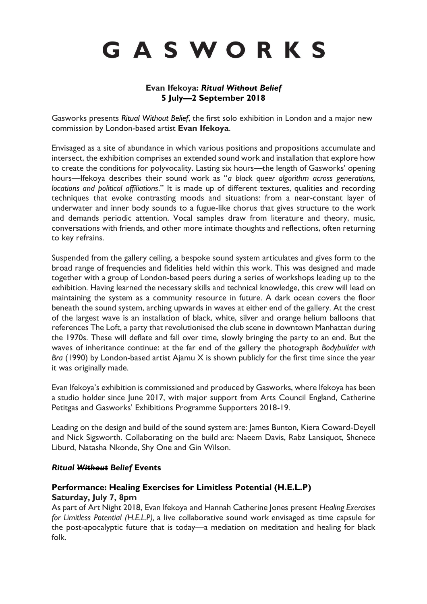# GASWORKS

## **Evan Ifekoya:** *Ritual Without Belief* **5 July—2 September 2018**

Gasworks presents *Ritual Without Belief*, the first solo exhibition in London and a major new commission by London-based artist **Evan Ifekoya**.

Envisaged as a site of abundance in which various positions and propositions accumulate and intersect, the exhibition comprises an extended sound work and installation that explore how to create the conditions for polyvocality. Lasting six hours—the length of Gasworks' opening hours—Ifekoya describes their sound work as "*a black queer algorithm across generations, locations and political affiliations*." It is made up of different textures, qualities and recording techniques that evoke contrasting moods and situations: from a near-constant layer of underwater and inner body sounds to a fugue-like chorus that gives structure to the work and demands periodic attention. Vocal samples draw from literature and theory, music, conversations with friends, and other more intimate thoughts and reflections, often returning to key refrains.

Suspended from the gallery ceiling, a bespoke sound system articulates and gives form to the broad range of frequencies and fidelities held within this work. This was designed and made together with a group of London-based peers during a series of workshops leading up to the exhibition. Having learned the necessary skills and technical knowledge, this crew will lead on maintaining the system as a community resource in future. A dark ocean covers the floor beneath the sound system, arching upwards in waves at either end of the gallery. At the crest of the largest wave is an installation of black, white, silver and orange helium balloons that references The Loft, a party that revolutionised the club scene in downtown Manhattan during the 1970s. These will deflate and fall over time, slowly bringing the party to an end. But the waves of inheritance continue: at the far end of the gallery the photograph *Bodybuilder with Bra* (1990) by London-based artist Ajamu X is shown publicly for the first time since the year it was originally made.

Evan Ifekoya's exhibition is commissioned and produced by Gasworks, where Ifekoya has been a studio holder since June 2017, with major support from Arts Council England, Catherine Petitgas and Gasworks' Exhibitions Programme Supporters 2018-19.

Leading on the design and build of the sound system are: James Bunton, Kiera Coward-Deyell and Nick Sigsworth. Collaborating on the build are: Naeem Davis, Rabz Lansiquot, Shenece Liburd, Natasha Nkonde, Shy One and Gin Wilson.

#### *Ritual Without Belief* **Events**

## **[Performance:](https://www.gasworks.org.uk/events/healing-exercises-for-limitless-potential-help-2018-07-07/) Healing Exercises for Limitless Potential (H.E.L.P) Saturday, July 7, 8pm**

As part of Art Night 2018, Evan Ifekoya and Hannah Catherine Jones present *Healing Exercises for Limitless Potential (H.E.L.P),* a live collaborative sound work envisaged as time capsule for the post-apocalyptic future that is today—a mediation on meditation and healing for black folk.